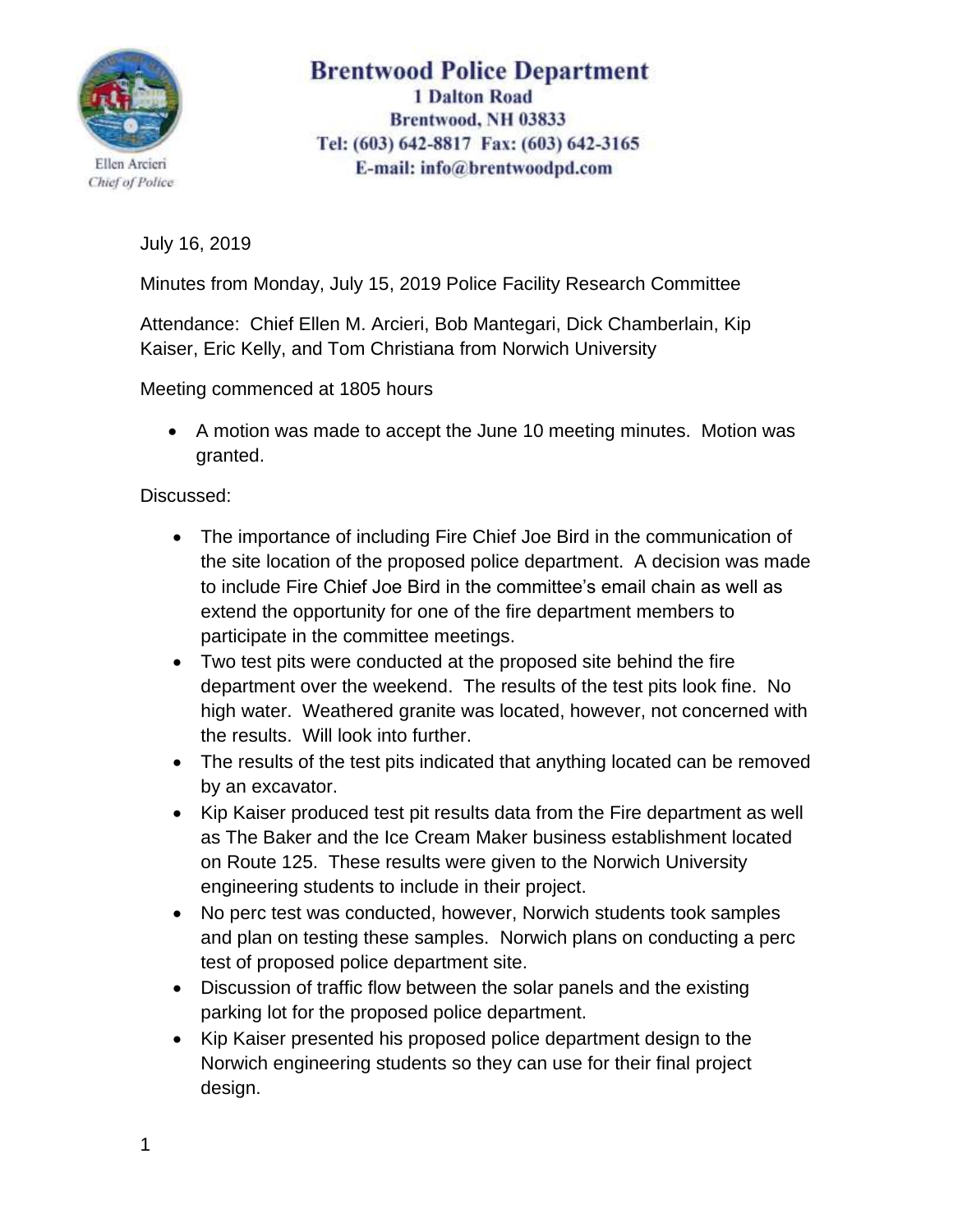

## **Brentwood Police Department 1 Dalton Road** Brentwood, NH 03833 Tel: (603) 642-8817 Fax: (603) 642-3165 E-mail: info@brentwoodpd.com

July 16, 2019

Minutes from Monday, July 15, 2019 Police Facility Research Committee

Attendance: Chief Ellen M. Arcieri, Bob Mantegari, Dick Chamberlain, Kip Kaiser, Eric Kelly, and Tom Christiana from Norwich University

Meeting commenced at 1805 hours

• A motion was made to accept the June 10 meeting minutes. Motion was granted.

Discussed:

- The importance of including Fire Chief Joe Bird in the communication of the site location of the proposed police department. A decision was made to include Fire Chief Joe Bird in the committee's email chain as well as extend the opportunity for one of the fire department members to participate in the committee meetings.
- Two test pits were conducted at the proposed site behind the fire department over the weekend. The results of the test pits look fine. No high water. Weathered granite was located, however, not concerned with the results. Will look into further.
- The results of the test pits indicated that anything located can be removed by an excavator.
- Kip Kaiser produced test pit results data from the Fire department as well as The Baker and the Ice Cream Maker business establishment located on Route 125. These results were given to the Norwich University engineering students to include in their project.
- No perc test was conducted, however, Norwich students took samples and plan on testing these samples. Norwich plans on conducting a perc test of proposed police department site.
- Discussion of traffic flow between the solar panels and the existing parking lot for the proposed police department.
- Kip Kaiser presented his proposed police department design to the Norwich engineering students so they can use for their final project design.